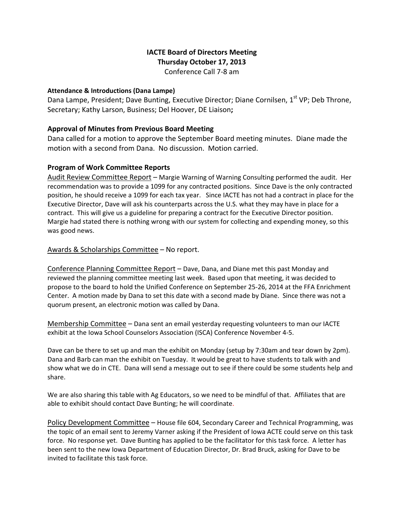# **IACTE Board of Directors Meeting Thursday October 17, 2013**

Conference Call 7‐8 am

#### **Attendance & Introductions (Dana Lampe)**

Dana Lampe, President; Dave Bunting, Executive Director; Diane Cornilsen, 1<sup>st</sup> VP; Deb Throne, Secretary; Kathy Larson, Business; Del Hoover, DE Liaison**;**

### **Approval of Minutes from Previous Board Meeting**

Dana called for a motion to approve the September Board meeting minutes. Diane made the motion with a second from Dana. No discussion. Motion carried.

### **Program of Work Committee Reports**

Audit Review Committee Report - Margie Warning of Warning Consulting performed the audit. Her recommendation was to provide a 1099 for any contracted positions. Since Dave is the only contracted position, he should receive a 1099 for each tax year. Since IACTE has not had a contract in place for the Executive Director, Dave will ask his counterparts across the U.S. what they may have in place for a contract. This will give us a guideline for preparing a contract for the Executive Director position. Margie had stated there is nothing wrong with our system for collecting and expending money, so this was good news.

# Awards & Scholarships Committee – No report.

Conference Planning Committee Report – Dave, Dana, and Diane met this past Monday and reviewed the planning committee meeting last week. Based upon that meeting, it was decided to propose to the board to hold the Unified Conference on September 25‐26, 2014 at the FFA Enrichment Center. A motion made by Dana to set this date with a second made by Diane. Since there was not a quorum present, an electronic motion was called by Dana.

Membership Committee – Dana sent an email yesterday requesting volunteers to man our IACTE exhibit at the Iowa School Counselors Association (ISCA) Conference November 4‐5.

Dave can be there to set up and man the exhibit on Monday (setup by 7:30am and tear down by 2pm). Dana and Barb can man the exhibit on Tuesday. It would be great to have students to talk with and show what we do in CTE. Dana will send a message out to see if there could be some students help and share.

We are also sharing this table with Ag Educators, so we need to be mindful of that. Affiliates that are able to exhibit should contact Dave Bunting; he will coordinate.

Policy Development Committee – House file 604, Secondary Career and Technical Programming, was the topic of an email sent to Jeremy Varner asking if the President of Iowa ACTE could serve on this task force. No response yet. Dave Bunting has applied to be the facilitator for this task force. A letter has been sent to the new Iowa Department of Education Director, Dr. Brad Bruck, asking for Dave to be invited to facilitate this task force.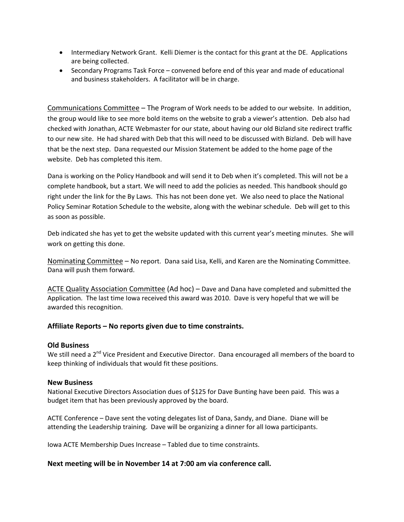- Intermediary Network Grant. Kelli Diemer is the contact for this grant at the DE. Applications are being collected.
- Secondary Programs Task Force convened before end of this year and made of educational and business stakeholders. A facilitator will be in charge.

Communications Committee – The Program of Work needs to be added to our website. In addition, the group would like to see more bold items on the website to grab a viewer's attention. Deb also had checked with Jonathan, ACTE Webmaster for our state, about having our old Bizland site redirect traffic to our new site. He had shared with Deb that this will need to be discussed with Bizland. Deb will have that be the next step. Dana requested our Mission Statement be added to the home page of the website. Deb has completed this item.

Dana is working on the Policy Handbook and will send it to Deb when it's completed. This will not be a complete handbook, but a start. We will need to add the policies as needed. This handbook should go right under the link for the By Laws. This has not been done yet. We also need to place the National Policy Seminar Rotation Schedule to the website, along with the webinar schedule. Deb will get to this as soon as possible.

Deb indicated she has yet to get the website updated with this current year's meeting minutes. She will work on getting this done.

Nominating Committee – No report. Dana said Lisa, Kelli, and Karen are the Nominating Committee. Dana will push them forward.

ACTE Quality Association Committee (Ad hoc) – Dave and Dana have completed and submitted the Application. The last time Iowa received this award was 2010. Dave is very hopeful that we will be awarded this recognition.

### **Affiliate Reports – No reports given due to time constraints.**

### **Old Business**

We still need a 2<sup>nd</sup> Vice President and Executive Director. Dana encouraged all members of the board to keep thinking of individuals that would fit these positions.

#### **New Business**

National Executive Directors Association dues of \$125 for Dave Bunting have been paid. This was a budget item that has been previously approved by the board.

ACTE Conference – Dave sent the voting delegates list of Dana, Sandy, and Diane. Diane will be attending the Leadership training. Dave will be organizing a dinner for all Iowa participants.

Iowa ACTE Membership Dues Increase – Tabled due to time constraints.

### **Next meeting will be in November 14 at 7:00 am via conference call.**